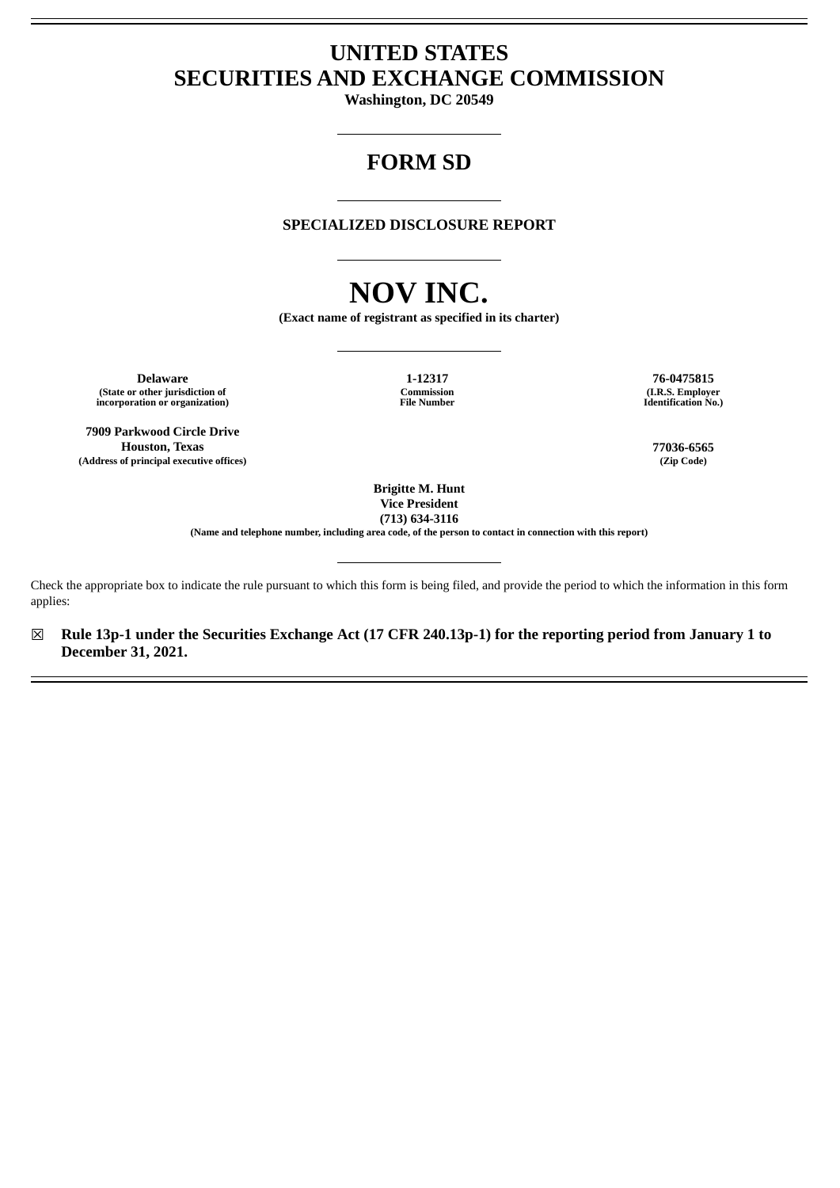# **UNITED STATES SECURITIES AND EXCHANGE COMMISSION**

**Washington, DC 20549**

# **FORM SD**

**SPECIALIZED DISCLOSURE REPORT**

# **NOV INC.**

**(Exact name of registrant as specified in its charter)**

**Delaware 1-12317 76-0475815 (State or other jurisdiction of incorporation or organization)**

**7909 Parkwood Circle Drive Houston, Texas 77036-6565 (Address of principal executive offices) (Zip Code)**

**Commission File Number**

**(I.R.S. Employer Identification No.)**

**Brigitte M. Hunt Vice President**

**(713) 634-3116**

**(Name and telephone number, including area code, of the person to contact in connection with this report)**

Check the appropriate box to indicate the rule pursuant to which this form is being filed, and provide the period to which the information in this form applies:

☒ **Rule 13p-1 under the Securities Exchange Act (17 CFR 240.13p-1) for the reporting period from January 1 to December 31, 2021.**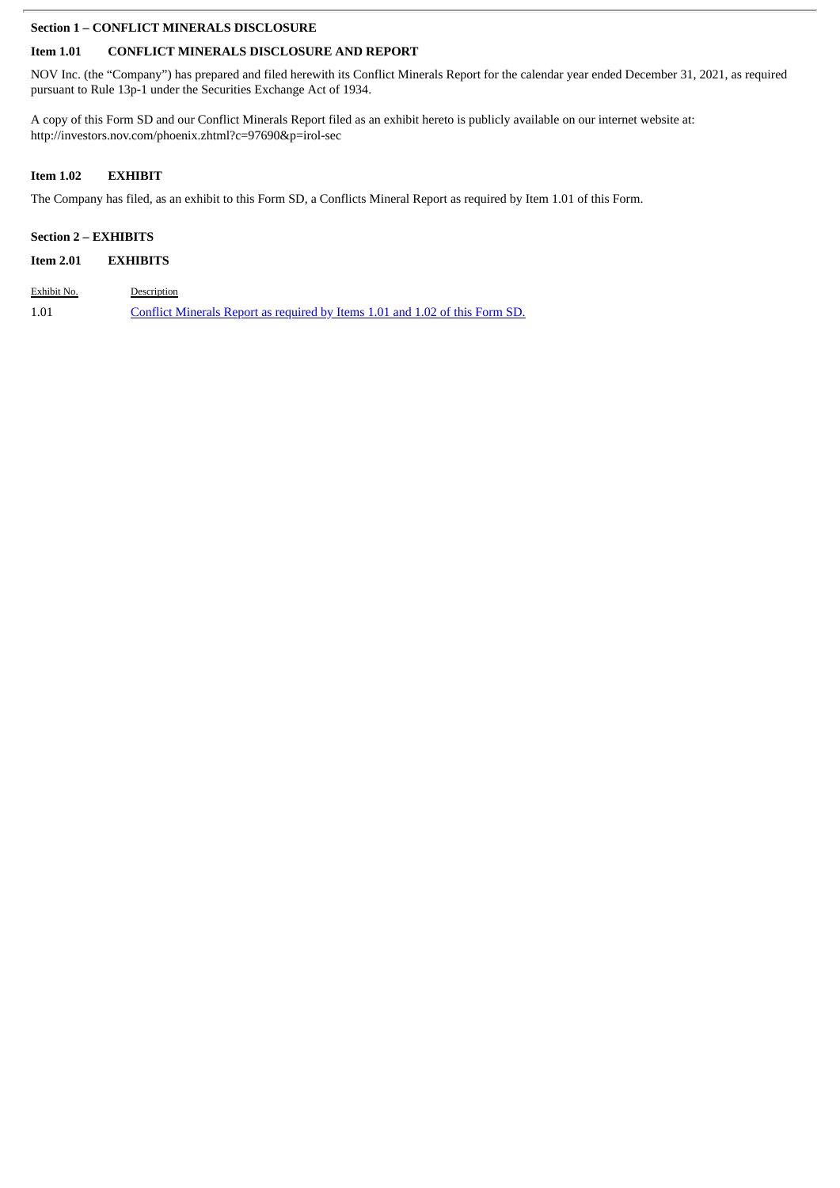### **Section 1 – CONFLICT MINERALS DISCLOSURE**

# **Item 1.01 CONFLICT MINERALS DISCLOSURE AND REPORT**

NOV Inc. (the "Company") has prepared and filed herewith its Conflict Minerals Report for the calendar year ended December 31, 2021, as required pursuant to Rule 13p-1 under the Securities Exchange Act of 1934.

A copy of this Form SD and our Conflict Minerals Report filed as an exhibit hereto is publicly available on our internet website at: http://investors.nov.com/phoenix.zhtml?c=97690&p=irol-sec

# **Item 1.02 EXHIBIT**

The Company has filed, as an exhibit to this Form SD, a Conflicts Mineral Report as required by Item 1.01 of this Form.

# **Section 2 – EXHIBITS**

| Exhibit No. | Description                                                                  |
|-------------|------------------------------------------------------------------------------|
| 1.01        | Conflict Minerals Report as required by Items 1.01 and 1.02 of this Form SD. |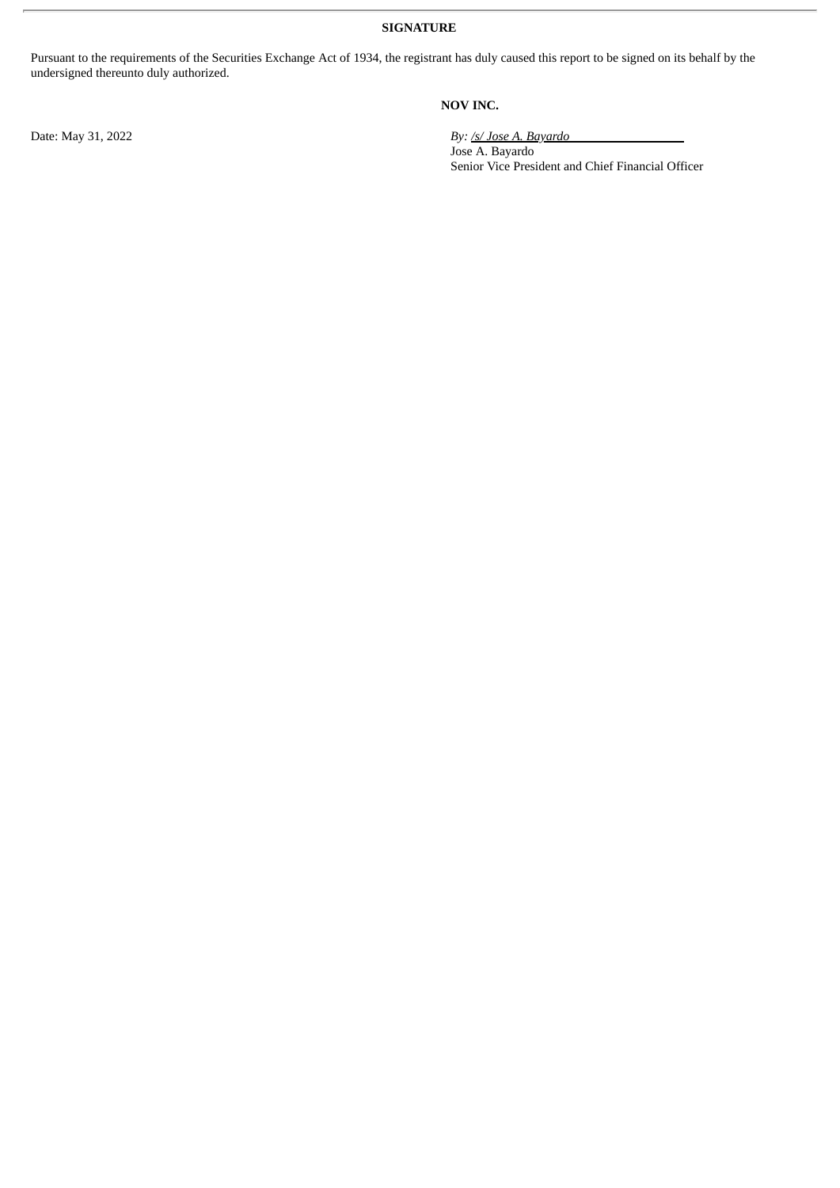**SIGNATURE**

Pursuant to the requirements of the Securities Exchange Act of 1934, the registrant has duly caused this report to be signed on its behalf by the undersigned thereunto duly authorized.

## **NOV INC.**

Date: May 31, 2022 *By: /s/ Jose A. Bayardo*

Jose A. Bayardo Senior Vice President and Chief Financial Officer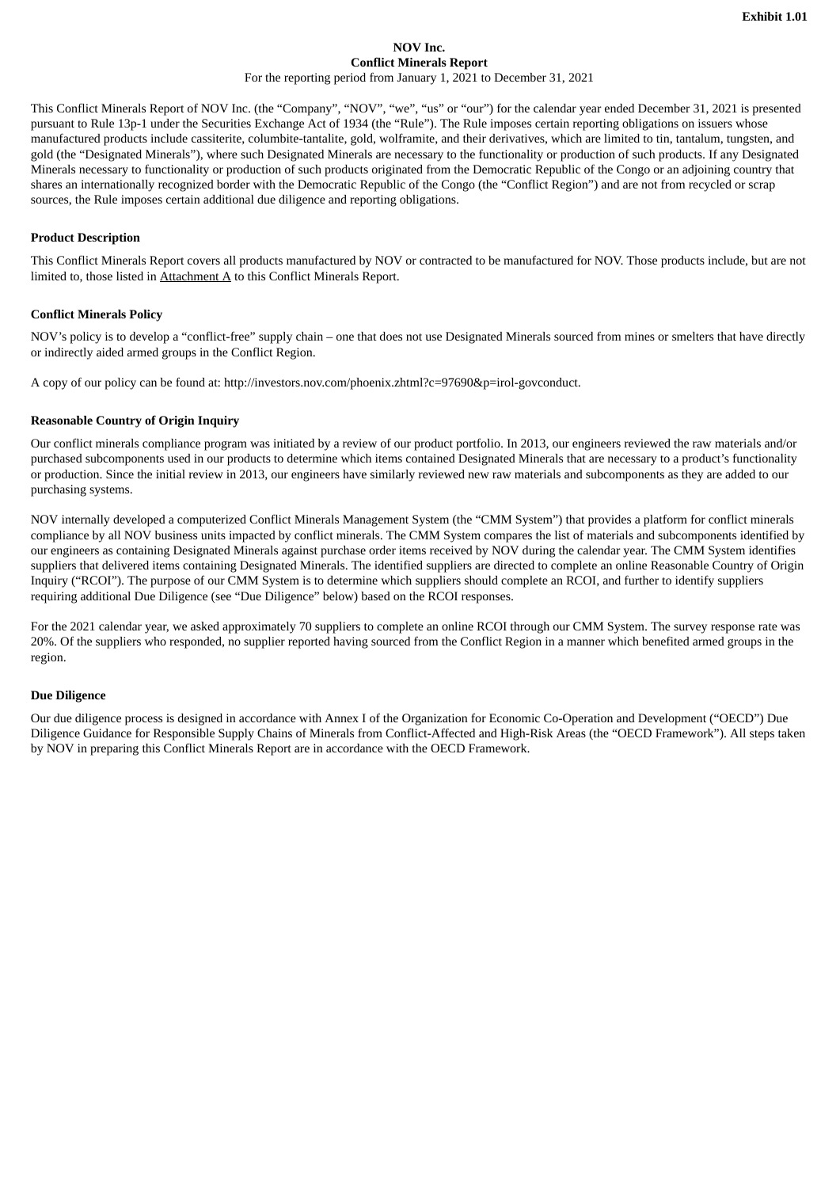## **NOV Inc. Conflict Minerals Report**

For the reporting period from January 1, 2021 to December 31, 2021

<span id="page-3-0"></span>This Conflict Minerals Report of NOV Inc. (the "Company", "NOV", "we", "us" or "our") for the calendar year ended December 31, 2021 is presented pursuant to Rule 13p-1 under the Securities Exchange Act of 1934 (the "Rule"). The Rule imposes certain reporting obligations on issuers whose manufactured products include cassiterite, columbite-tantalite, gold, wolframite, and their derivatives, which are limited to tin, tantalum, tungsten, and gold (the "Designated Minerals"), where such Designated Minerals are necessary to the functionality or production of such products. If any Designated Minerals necessary to functionality or production of such products originated from the Democratic Republic of the Congo or an adjoining country that shares an internationally recognized border with the Democratic Republic of the Congo (the "Conflict Region") and are not from recycled or scrap sources, the Rule imposes certain additional due diligence and reporting obligations.

#### **Product Description**

This Conflict Minerals Report covers all products manufactured by NOV or contracted to be manufactured for NOV. Those products include, but are not limited to, those listed in  $Attachment A$  to this Conflict Minerals Report.</u>

#### **Conflict Minerals Policy**

NOV's policy is to develop a "conflict-free" supply chain – one that does not use Designated Minerals sourced from mines or smelters that have directly or indirectly aided armed groups in the Conflict Region.

A copy of our policy can be found at: http://investors.nov.com/phoenix.zhtml?c=97690&p=irol-govconduct.

#### **Reasonable Country of Origin Inquiry**

Our conflict minerals compliance program was initiated by a review of our product portfolio. In 2013, our engineers reviewed the raw materials and/or purchased subcomponents used in our products to determine which items contained Designated Minerals that are necessary to a product's functionality or production. Since the initial review in 2013, our engineers have similarly reviewed new raw materials and subcomponents as they are added to our purchasing systems.

NOV internally developed a computerized Conflict Minerals Management System (the "CMM System") that provides a platform for conflict minerals compliance by all NOV business units impacted by conflict minerals. The CMM System compares the list of materials and subcomponents identified by our engineers as containing Designated Minerals against purchase order items received by NOV during the calendar year. The CMM System identifies suppliers that delivered items containing Designated Minerals. The identified suppliers are directed to complete an online Reasonable Country of Origin Inquiry ("RCOI"). The purpose of our CMM System is to determine which suppliers should complete an RCOI, and further to identify suppliers requiring additional Due Diligence (see "Due Diligence" below) based on the RCOI responses.

For the 2021 calendar year, we asked approximately 70 suppliers to complete an online RCOI through our CMM System. The survey response rate was 20%. Of the suppliers who responded, no supplier reported having sourced from the Conflict Region in a manner which benefited armed groups in the region.

#### **Due Diligence**

Our due diligence process is designed in accordance with Annex I of the Organization for Economic Co-Operation and Development ("OECD") Due Diligence Guidance for Responsible Supply Chains of Minerals from Conflict-Affected and High-Risk Areas (the "OECD Framework"). All steps taken by NOV in preparing this Conflict Minerals Report are in accordance with the OECD Framework.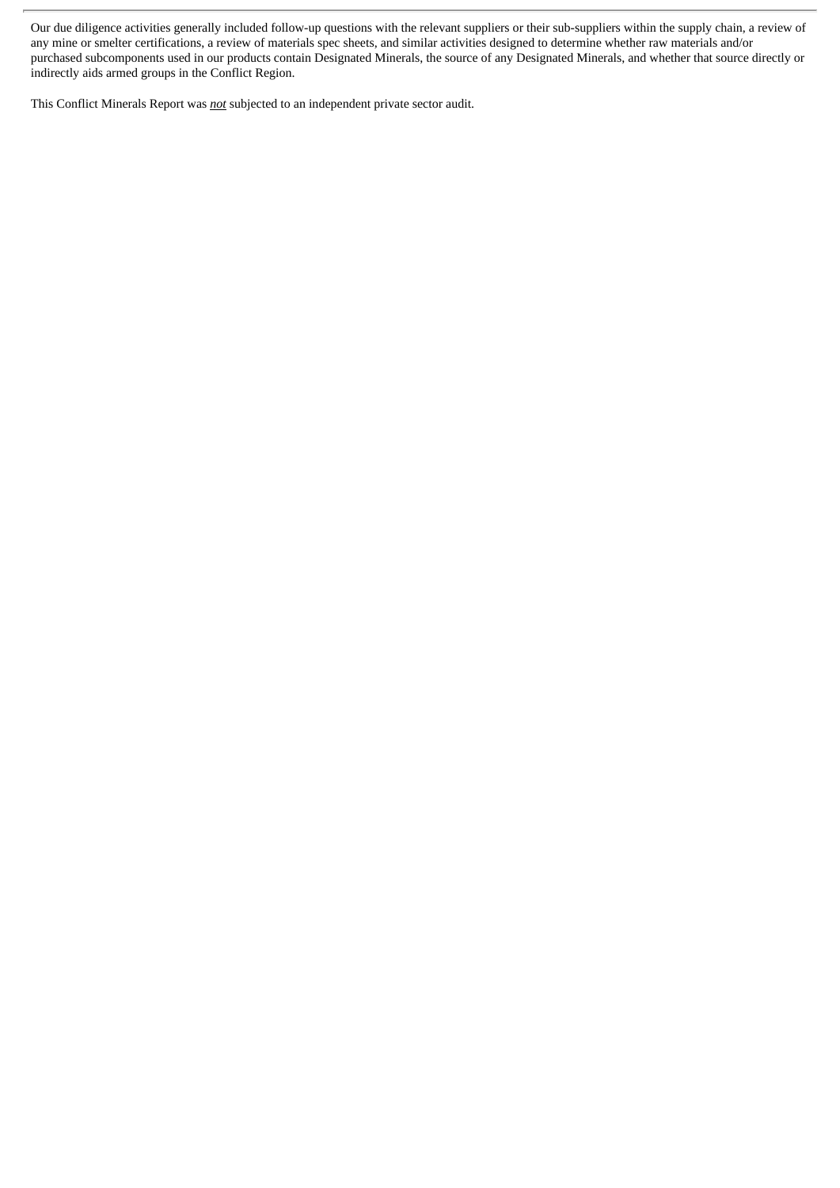Our due diligence activities generally included follow-up questions with the relevant suppliers or their sub-suppliers within the supply chain, a review of any mine or smelter certifications, a review of materials spec sheets, and similar activities designed to determine whether raw materials and/or purchased subcomponents used in our products contain Designated Minerals, the source of any Designated Minerals, and whether that source directly or indirectly aids armed groups in the Conflict Region.

This Conflict Minerals Report was *not* subjected to an independent private sector audit.